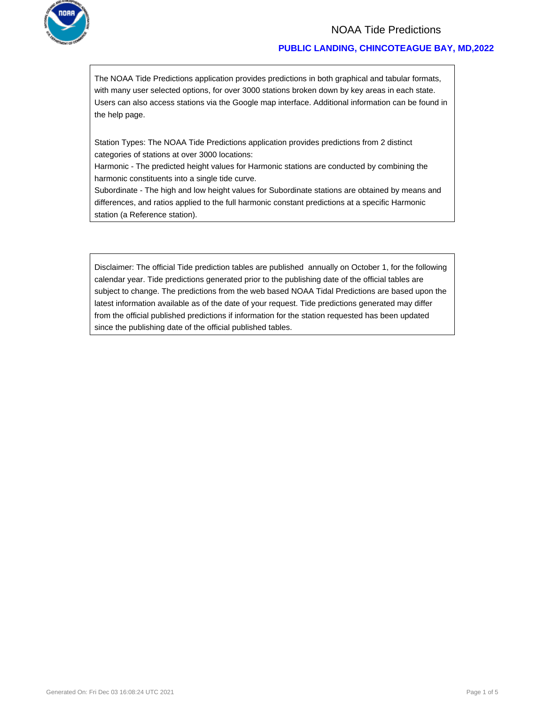

### NOAA Tide Predictions

#### **PUBLIC LANDING, CHINCOTEAGUE BAY, MD,2022**

The NOAA Tide Predictions application provides predictions in both graphical and tabular formats, with many user selected options, for over 3000 stations broken down by key areas in each state. Users can also access stations via the Google map interface. Additional information can be found in the help page.

Station Types: The NOAA Tide Predictions application provides predictions from 2 distinct categories of stations at over 3000 locations:

Harmonic - The predicted height values for Harmonic stations are conducted by combining the harmonic constituents into a single tide curve.

Subordinate - The high and low height values for Subordinate stations are obtained by means and differences, and ratios applied to the full harmonic constant predictions at a specific Harmonic station (a Reference station).

Disclaimer: The official Tide prediction tables are published annually on October 1, for the following calendar year. Tide predictions generated prior to the publishing date of the official tables are subject to change. The predictions from the web based NOAA Tidal Predictions are based upon the latest information available as of the date of your request. Tide predictions generated may differ from the official published predictions if information for the station requested has been updated since the publishing date of the official published tables.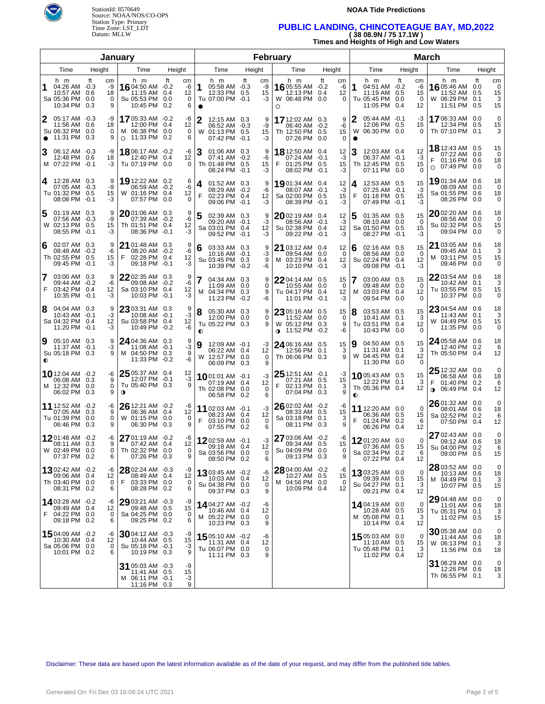

#### **NOAA Tide Predictions**

## Time Zone: LST\_LDT **PUBLIC LANDING, CHINCOTEAGUE BAY, MD,2022**  Datum: MLLW **( 38 08.9N / 75 17.1W )**

**Times and Heights of High and Low Waters** 

| January                                                                            |                                       |                                                                              |                                |                                                                                         |                                   | <b>February</b>                                                       |                                      | <b>March</b>                                                                  |                                        |                                                                             |                                       |  |  |
|------------------------------------------------------------------------------------|---------------------------------------|------------------------------------------------------------------------------|--------------------------------|-----------------------------------------------------------------------------------------|-----------------------------------|-----------------------------------------------------------------------|--------------------------------------|-------------------------------------------------------------------------------|----------------------------------------|-----------------------------------------------------------------------------|---------------------------------------|--|--|
| Time                                                                               | Height                                | Time                                                                         | Height                         | Time                                                                                    | Height                            | Time                                                                  |                                      | Time                                                                          | Height                                 | Time                                                                        | Height                                |  |  |
| h m<br>1<br>04:26 AM -0.3<br>10:57 AM 0.6<br>Sa 05:36 PM 0.0<br>10:34 PM 0.3       | ft<br>cm<br>-9<br>18<br>$\Omega$<br>9 | h m<br>16 04:50 AM -0.2<br>11:15 AM 0.4<br>Su 05:53 PM 0.0<br>10:45 PM 0.2   | ft<br>cm<br>-6<br>12<br>0<br>6 | h m<br>1<br>05:58 AM -0.3<br>12:33 PM 0.5<br>Tu 07:00 PM -0.1<br>$\bullet$              | ft<br>cm<br>-9<br>15<br>-3        | h m<br>1605:55 AM -0.2<br>12:13 PM 0.4<br>W 06:48 PM 0.0<br>O         | ft<br>cm<br>-6<br>12<br>$\Omega$     | h m<br>1<br>04:51 AM -0.2<br>11:19 AM 0.5<br>Tu 05:45 PM 0.0<br>11:05 PM 0.4  | ft<br>cm<br>-6<br>15<br>$\Omega$<br>12 | h m<br>1605:46 AM 0.0<br>11:52 AM 0.5<br>W 06:29 PM 0.1<br>11:51 PM         | ft<br>cm<br>0<br>15<br>3<br>0.5<br>15 |  |  |
| 2<br>05:17 AM -0.3<br>11:56 AM 0.6<br>Su 06:32 PM 0.0<br>11:31 PM 0.3<br>$\bullet$ | -9<br>18<br>$\Omega$<br>9             | 1705:33 AM -0.2<br>12:00 PM 0.4<br>M 06:38 PM 0.0<br>11:33 PM 0.2<br>$\circ$ | -6<br>12<br>0<br>6             | 12:15 AM 0.3<br>06:52 AM -0.3<br>W 01:13 PM 0.5<br>07:42 PM -0.1                        | 9<br>-9<br>15<br>-3               | 17 12:02 AM 0.3<br>06:40 AM -0.2<br>Th 12:50 PM 0.5<br>07:26 PM       | 9<br>-6<br>15<br>0.0<br>0            | 2<br>05:44 AM -0.1<br>12:06 PM 0.5<br>W 06:30 PM 0.0<br>$\bullet$             | -3<br>15<br>$\Omega$                   | 1706:33 AM 0.0<br>12:34 PM 0.5<br>Th 07:10 PM 0.1                           | $\mathbf 0$<br>15<br>3                |  |  |
| 3<br>06:12 AM -0.3<br>12:48 PM 0.6<br>M 07:22 PM -0.1                              | -9<br>18<br>-3                        | 1806:17 AM -0.2<br>12:40 PM 0.4<br>Tu 07:19 PM 0.0                           | -6<br>12<br>0                  | 01:06 AM 0.3<br>07:41 AM -0.2<br>Th 01:48 PM 0.5<br>08:24 PM -0.1                       | 9<br>-6<br>15<br>-3               | 18 12:50 AM 0.4<br>07:24 AM -0.1<br>01:25 PM 0.5<br>08:02 PM -0.1     | 12<br>$-3$<br>15<br>-3               | 12:03 AM 0.4<br>06:37 AM -0.1<br>Th 12:45 PM 0.5<br>07:11 PM 0.0              | 12<br>-3<br>15<br>∩                    | <b>18</b> 12:43 AM 0.5<br>07:22 AM 0.0<br>01:16 PM 0.6<br>07:49 PM 0.0<br>O | 15<br>0<br>18<br>0                    |  |  |
| 12:28 AM 0.3<br>4<br>07:05 AM -0.3<br>Tu 01:32 PM 0.5<br>08:08 PM -0.1             | 9<br>-9<br>15<br>-3                   | 19 12:22 AM 0.2<br>06:59 AM -0.2<br>W 01:16 PM 0.4<br>07:57 PM 0.0           | 6<br>-6<br>12<br>0             | 01:52 AM 0.3<br>4<br>08:29 AM -0.2<br>F<br>02:23 PM 0.4<br>09:06 PM -0.1                | 9<br>-6<br>12<br>-3               | 1901:34 AM 0.4<br>08:07 AM -0.1<br>Sa 02:00 PM 0.5<br>08:39 PM -0.1   | 12<br>-3<br>15<br>-3                 | 12:53 AM 0.5<br>4<br>07:25 AM -0.1<br>F<br>01:18 PM 0.5<br>07:49 PM -0.1      | 15<br>$-3$<br>15<br>-3                 | 1901:34 AM 0.6<br>08:09 AM 0.0<br>Sa 01:55 PM 0.6<br>08:26 PM 0.0           | 18<br>$\Omega$<br>18<br>0             |  |  |
| 5<br>01:19 AM 0.3<br>07:56 AM -0.3<br>W 02:13 PM 0.5<br>08:55 PM -0.1              | 9<br>-9<br>15<br>-3                   | 2001:06 AM 0.3<br>07:39 AM -0.2<br>Th 01:51 PM 0.4<br>08:36 PM -0.1          | 9<br>-6<br>12<br>-3            | 5<br>02:39 AM 0.3<br>09:20 AM -0.1<br>Sa 03:01 PM 0.4<br>09:52 PM -0.1                  | 9<br>-3<br>12<br>-3               | 2002:19 AM 0.4<br>08:56 AM -0.1<br>Su 02:38 PM 0.4<br>09:22 PM -0.1   | 12<br>-3<br>12<br>-3                 | 01:35 AM 0.5<br>08:10 AM 0.0<br>Sa 01:50 PM 0.5<br>08:27 PM -0.1              | 15<br>$\Omega$<br>15<br>-3             | 2002:20 AM 0.6<br>08:56 AM 0.0<br>Su 02:32 PM 0.5<br>09:04 PM 0.0           | 18<br>0<br>15<br>0                    |  |  |
| 02:07 AM 0.3<br>6<br>08:48 AM -0.2<br>Th 02:55 PM 0.5<br>09:45 PM -0.1             | 9<br>-6<br>15<br>-3                   | 21 01:48 AM 0.3<br>08:20 AM -0.2<br>F<br>02:28 PM 0.4<br>09:18 PM -0.1       | 9<br>-6<br>12<br>-3            | 03:33 AM 0.3<br>6<br>10:16 AM -0.1<br>Su 03:45 PM 0.3<br>10:39 PM -0.2                  | 9<br>-3<br>9<br>-6                | 21 03:12 AM 0.4<br>09:54 AM 0.0<br>M 03:23 PM 0.4<br>10:10 PM         | 12<br>$\Omega$<br>12<br>$-0.1$<br>-3 | 02:16 AM 0.5<br>6<br>08:56 AM 0.0<br>Su 02:24 PM 0.4<br>09:08 PM -0.1         | 15<br>$\Omega$<br>12<br>-3             | 21 03:05 AM 0.6<br>09:45 AM 0.1<br>M 03:11 PM 0.5<br>09:46 PM 0.0           | 18<br>3<br>15<br>0                    |  |  |
| 7<br>03:00 AM 0.3<br>09:44 AM -0.2<br>F<br>03:42 PM 0.4<br>10:35 PM -0.1           | 9<br>-6<br>12<br>-3                   | 22 02:35 AM 0.3<br>09:08 AM -0.2<br>Sa 03:10 PM 0.4<br>10:03 PM -0.1         | 9<br>-6<br>12<br>-3            | 04:34 AM 0.3<br>11:09 AM 0.0<br>M 04:34 PM 0.3<br>11:23 PM -0.2                         | 9<br>$\Omega$<br>9<br>-6          | $2204:14$ AM $0.5$<br>10:55 AM 0.0<br>Tu 04:17 PM 0.4<br>11:01 PM     | 15<br>$\Omega$<br>12<br>$-0.1$<br>-3 | 03:00 AM 0.5<br>09:48 AM 0.0<br>M 03:03 PM 0.4<br>09:54 PM 0.0                | 15<br>$\Omega$<br>12<br>∩              | 2203:54 AM 0.6<br>10:42 AM 0.1<br>Tu 03:55 PM 0.5<br>10:37 PM 0.0           | 18<br>3<br>15<br>0                    |  |  |
| 8<br>04:04 AM 0.3<br>10:43 AM -0.1<br>Sa 04:32 PM 0.4<br>11:20 PM -0.1             | 9<br>-3<br>12<br>-3                   | 23 03:31 AM 0.3<br>10:08 AM -0.1<br>Su 03:58 PM 0.4<br>10:49 PM -0.2         | 9<br>-3<br>12<br>-6            | 8<br>05:30 AM 0.3<br>12:00 PM 0.0<br>Tu 05:22 PM 0.3<br>$\bullet$                       | 9<br>$\Omega$<br>9                | 23 05:16 AM 0.5<br>11:52 AM 0.0<br>W 05:12 PM 0.3<br>∩ 11:52 PM -0.2  | 15<br>$\Omega$<br>9<br>-6            | 03:53 AM 0.5<br>10:41 AM 0.1<br>Tu 03:51 PM 0.4<br>10:43 PM 0.0               | 15<br>3<br>12<br><sup>n</sup>          | 23 04:54 AM 0.6<br>11:43 AM 0.1<br>W 04:49 PM 0.5<br>11:35 PM 0.0           | 18<br>3<br>15<br>0                    |  |  |
| 9<br>05:10 AM 0.3<br>11:37 AM -0.1<br>Su 05:18 PM 0.3<br>◐                         | 9<br>-3<br>9                          | 24 04:36 AM 0.3<br>11:08 AM -0.1<br>M 04:50 PM 0.3<br>11:33 PM -0.2          | 9<br>-3<br>9<br>-6             | 9<br>12:09 AM -0.1<br>06:22 AM 0.4<br>W 12:57 PM 0.0<br>06:09 PM 0.3                    | -3<br>12<br>0<br>9                | 24 06:16 AM 0.5<br>12:56 PM 0.1<br>Th 06:06 PM 0.3                    | 15<br>3<br>9                         | 04:50 AM 0.5<br>9<br>11:31 AM 0.1<br>W 04:45 PM 0.4<br>11:30 PM 0.0           | 15<br>3<br>12<br>$\Omega$              | 24 05:58 AM 0.6<br>12:40 PM 0.2<br>Th 05:50 PM 0.4                          | 18<br>6<br>12                         |  |  |
| <b>10</b> 12:04 AM $-0.2$<br>06:08 AM 0.3<br>M 12:32 PM 0.0<br>06:02 PM 0.3        | -6<br>9<br>0<br>9                     | 25 05:37 AM 0.4<br>12:07 PM -0.1<br>Tu 05:40 PM 0.3<br>$\Omega$              | 12<br>-3<br>9                  | <b>10</b> 01:01 AM -0.1<br>07:19 AM 0.4<br>Th 02:08 PM 0.0<br>06:58 PM 0.2              | -3<br>12<br>0<br>6                | 25 12:51 AM -0.1<br>07:21 AM 0.5<br>F<br>02:13 PM 0.1<br>07:04 PM 0.3 | -3<br>15<br>3<br>9                   | 1005:43 AM 0.5<br>12:22 PM 0.1<br>Th 05:36 PM 0.4<br>0                        | 15<br>3<br>12                          | 25 12:32 AM 0.0<br>06:58 AM 0.6<br>01:40 PM 0.2<br>$06:49 \text{ PM}$       | 0<br>18<br>6<br>12<br>0.4             |  |  |
| <b>11</b> 12:52 AM -0.2<br>07:05 AM 0.3<br>Tu 01:39 PM 0.0<br>06:46 PM 0.3         | -6<br>9<br>0<br>9                     | 26 12:21 AM -0.2<br>06:36 AM 0.4<br>W 01:15 PM 0.0<br>06:30 PM 0.3           | -6<br>12<br>0<br>9             | 11 02:03 AM -0.1<br>08:23 AM 0.4<br>F<br>03:10 PM 0.0<br>07:55 PM 0.2                   | -3<br>$12 \overline{ }$<br>0<br>6 | 26 02:02 AM -0.2<br>08:33 AM 0.5<br>Sa 03:18 PM 0.1<br>08:11 PM 0.3   | -6<br>15<br>3<br>9                   | 11 12:20 AM 0.0<br>06:36 AM 0.5<br>F<br>01:24 PM 0.2<br>06:26 PM 0.4          | $\Omega$<br>15<br>6<br>12              | $2601:32$ AM 0.0<br>08:01 AM 0.6<br>Sa 02:52 PM 0.2<br>07:50 PM             | 0<br>18<br>6<br>0.4<br>12             |  |  |
| 1201:48 AM -0.2<br>08:11 AM 0.3<br>W 02:49 PM 0.0<br>07:37 PM 0.2                  | -6<br>9<br>0<br>6                     | 27 01:19 AM -0.2<br>07:42 AM 0.4<br>Th 02:32 PM 0.0<br>07:26 PM 0.3          | 0<br>9                         | $\frac{16}{12}$ 12 02:59 AM -0.1<br>$09.18$ AM $0.4$<br>Sa 03:56 PM 0.0<br>08:50 PM 0.2 | -3<br>12 <sub>1</sub><br>0<br>6   | 27 03:06 AM -0.2<br>09:34 AM 0.5<br>Su 04:09 PM 0.0<br>09:13 PM 0.3   | -6<br>15<br>0<br>9                   | 1201:20 AM 0.0<br>$07:36$ AM $0.5$<br>Sa 02:34 PM 0.2<br>07:22 PM 0.4         | $\Omega$<br>6<br>12                    | 27 02:43 AM 0.0<br>09:12 AM 0.6<br>15   Su 04:00 PM 0.2<br>09:00 PM 0.5     | 0<br>18<br>15                         |  |  |
| 1302:42 AM -0.2<br>09:06 AM 0.4<br>Th 03:40 PM 0.0<br>08:31 PM 0.2                 | -6<br>12<br>0<br>6                    | 28 02:24 AM -0.3<br>08:49 AM 0.4<br>F<br>03:33 PM 0.0<br>08:28 PM 0.2        | -9<br>12<br>0<br>6             | <b>13</b> 03:45 AM -0.2<br>10:03 AM 0.4<br>Su 04:38 PM 0.0<br>09:37 PM 0.3              | -6<br>12<br>0<br>9                | 28 04:00 AM -0.2<br>10:27 AM 0.5<br>M 04:56 PM 0.0<br>10:09 PM 0.4    | -6<br>15<br>0<br>12                  | 1303:25 AM 0.0<br>09:39 AM 0.5<br>Su 04:27 PM 0.1<br>09:21 PM 0.4             | 0<br>15<br>3<br>12                     | 28 03:52 AM 0.0<br>10:13 AM 0.6<br>M 04:49 PM 0.1<br>10:07 PM 0.5           | 0<br>18<br>3<br>15                    |  |  |
| 14 03:28 AM -0.2<br>09:49 AM 0.4<br>F<br>04:22 PM 0.0<br>09:18 PM 0.2              | -6<br>12<br>0<br>6                    | 29 03:21 AM -0.3<br>09:48 AM 0.5<br>Sa 04:25 PM 0.0<br>09:25 PM 0.2          | -9<br>15<br>0<br>6             | <b>14</b> 04:27 AM -0.2<br>10:46 AM 0.4<br>M 05:22 PM 0.0<br>10:23 PM 0.3               | -6<br>12<br>0<br>9                |                                                                       |                                      | <b>14</b> 04:19 AM 0.0<br>10:28 AM 0.5<br>M 05:08 PM 0.1<br>10:14 PM 0.4      | 0<br>15<br>3<br>12                     | 29 04:48 AM 0.0<br>11:01 AM 0.6<br>Tu 05:31 PM 0.1<br>11:02 PM 0.5          | 0<br>18<br>3<br>15                    |  |  |
| 1504:09 AM -0.2<br>10:30 AM 0.4<br>Sa 05:06 PM 0.0<br>10:01 PM 0.2                 | -6<br>12<br>0<br>6                    | $3004:12$ AM $-0.3$<br>10:44 AM 0.5<br>Su 05:18 PM -0.1<br>10:19 PM 0.3      | -9<br>15<br>-3<br>9            | 15 05:10 AM -0.2<br>11:31 AM 0.4<br>Tu 06:07 PM 0.0<br>11:11 PM 0.3                     | -6<br>12<br>0<br>9                |                                                                       |                                      | <b>15</b> 05:03 AM 0.0<br>$11:10$ AM $0.5$<br>Tu 05:48 PM 0.1<br>11:02 PM 0.4 | 0<br>15<br>3<br>12                     | 30 05:38 AM 0.0<br>11:44 AM 0.6<br>W 06:13 PM 0.1<br>11:56 PM 0.6           | 0<br>18<br>3<br>18                    |  |  |
|                                                                                    |                                       | 31 05:03 AM -0.3<br>11:41 AM 0.5<br>M 06:11 PM -0.1<br>11:16 PM 0.3          | -9<br>15<br>-3<br>9            |                                                                                         |                                   |                                                                       |                                      |                                                                               |                                        | 31 06:29 AM 0.0<br>12:26 PM 0.6<br>Th 06:55 PM 0.1                          | 0<br>18<br>3                          |  |  |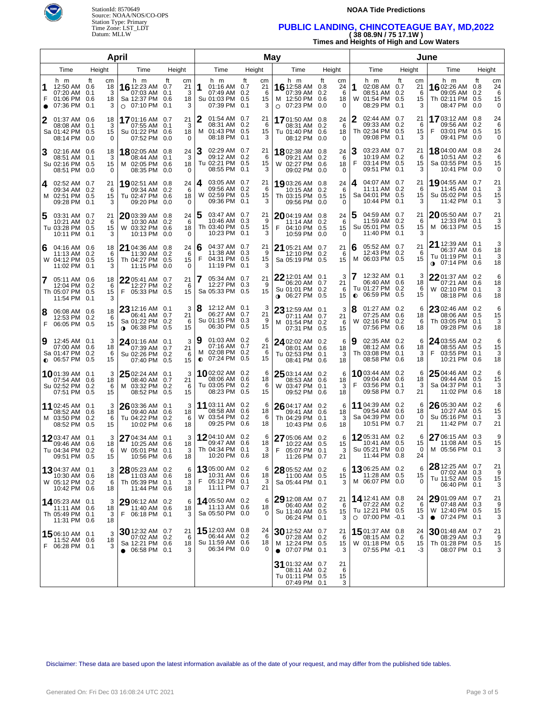

#### **NOAA Tide Predictions**

### Time Zone: LST\_LDT **PUBLIC LANDING, CHINCOTEAGUE BAY, MD,2022**  Datum: MLLW **( 38 08.9N / 75 17.1W )**

**Times and Heights of High and Low Waters** 

| <b>April</b>                                                                                                                                                                                                         |                                       |                                                                         | May                                   |                                                                            | June                                                       |                                                                                   |                                              |                                                                              |                                                            |  |
|----------------------------------------------------------------------------------------------------------------------------------------------------------------------------------------------------------------------|---------------------------------------|-------------------------------------------------------------------------|---------------------------------------|----------------------------------------------------------------------------|------------------------------------------------------------|-----------------------------------------------------------------------------------|----------------------------------------------|------------------------------------------------------------------------------|------------------------------------------------------------|--|
| Time<br>Height<br>Time                                                                                                                                                                                               | Height                                |                                                                         | Time<br>Height                        |                                                                            | Height                                                     | Time                                                                              | Height                                       | Time                                                                         | Height                                                     |  |
| ft<br>h m<br>h m<br>cm<br>1<br>16 12:23 AM 0.7<br>12:50 AM<br>18<br>0.6<br>07:20 AM<br>3<br>07:03 AM 0.1<br>0.1<br>F<br>01:06 PM<br>Sa 12:37 PM 0.6<br>0.6<br>18<br>07:36 PM<br>07:10 PM<br>3<br>0.1<br>$\circ$<br>● | ft<br>cm<br>21<br>3<br>18<br>0.1<br>3 | h m<br>1<br>01:16 AM 0.7<br>07:49 AM 0.2<br>Su 01:03 PM 0.5<br>07:39 PM | ft<br>cm<br>21<br>6<br>15<br>0.1<br>3 | h m<br><b>16</b> 12:58 AM<br>07:39 AM<br>M 12:50 PM<br>07:23 PM<br>$\circ$ | ft<br>cm<br>24<br>0.8<br>0.2<br>6<br>0.6<br>18<br>0.0<br>0 | h m<br>02:08 AM 0.7<br>1<br>08:51 AM<br>W<br>01:54 PM 0.5<br>08:29 PM             | ft<br>cm<br>21<br>0.2<br>6<br>15<br>0.1<br>3 | h m<br><b>16</b> 02:26 AM<br>09:05 AM<br>Th 02:11 PM<br>08:47 PM             | ft<br>cm<br>24<br>0.8<br>0.2<br>6<br>0.5<br>15<br>0<br>0.0 |  |
| 01:37 AM 0.6<br>1701:16 AM 0.7<br>2<br>18<br>3<br>08:08 AM<br>0.1<br>07:55 AM 0.1<br>Sa 01:42 PM<br>Su 01:22 PM 0.6<br>0.5<br>15<br>08:14 PM<br>0.0<br>07:52 PM<br>$\Omega$                                          | 21<br>3<br>18<br>0.0<br>$\Omega$      | 2<br>01:54 AM 0.7<br>08:31 AM 0.2<br>M 01:43 PM 0.5<br>08:18 PM 0.1     | 21<br>6<br>15<br>3                    | 1701:50 AM<br>08:31 AM<br>Tu 01:40 PM<br>08:12 PM                          | 0.8<br>24<br>0.2<br>6<br>0.6<br>18<br>0.0<br>$\Omega$      | 02:44 AM 0.7<br>09:33 AM<br>Th 02:34 PM 0.5<br>09:08 PM                           | 21<br>0.2<br>6<br>15<br>0.1<br>3             | 1703:12 AM 0.8<br>09:56 AM 0.2<br>F<br>03:01 PM 0.5<br>09:41 PM              | 24<br>6<br>15<br>0.0<br>0                                  |  |
| 3<br>02:16 AM 0.6<br>1802:05 AM 0.8<br>18<br>3<br>08:44 AM 0.1<br>08:51 AM 0.1<br>Su 02:16 PM 0.5<br>02:05 PM 0.6<br>15<br>м<br>08:51 PM<br>0.0<br>$\Omega$<br>08:35 PM 0.0                                          | 24<br>3<br>18<br>$\Omega$             | 3<br>02:29 AM 0.7<br>09:12 AM 0.2<br>Tu 02:21 PM 0.5<br>08:55 PM 0.1    | 21<br>6<br>15<br>3                    | 1802:38 AM<br>09:21 AM<br>W 02:27 PM<br>09:02 PM                           | 0.8<br>24<br>0.2<br>6<br>0.6<br>18<br>0.0<br>$\Omega$      | 03:23 AM 0.7<br>10:19 AM 0.2<br>F<br>03:14 PM 0.5<br>09:51 PM                     | 21<br>6<br>15<br>0.1<br>3                    | 1804:00 AM 0.8<br>10:51 AM 0.2<br>Sa 03:55 PM 0.5<br>10:41 PM                | 24<br>6<br>15<br>0.0<br>0                                  |  |
| 02:52 AM 0.7<br>21<br>1902:51 AM 0.8<br>4<br>09:34 AM 0.2<br>6<br>09:34 AM 0.2<br>02:51 PM 0.5<br>Tu 02:47 PM 0.6<br>15<br>M<br>09:28 PM<br>0.1<br>3<br>09:20 PM 0.0                                                 | 24<br>6<br>18<br>$\Omega$             | 4<br>03:05 AM 0.7<br>09:56 AM 0.2<br>W 02:59 PM 0.5<br>09:36 PM 0.1     | 21<br>6<br>15<br>3                    | 1903:26 AM<br>10:15 AM<br>Th 03:15 PM<br>09:56 PM                          | 0.8<br>24<br>0.2<br>6<br>0.5<br>15<br>0.0<br>$\Omega$      | 04:07 AM 0.7<br>4<br>11:11 AM 0.2<br>Sa 04:01 PM 0.5<br>10:44 PM                  | 21<br>6<br>15<br>0.1<br>3                    | 19 04:55 AM 0.7<br>11:45 AM 0.1<br>Su 05:02 PM 0.5<br>11:42 PM               | 21<br>3<br>15<br>3<br>0.1                                  |  |
| 03:31 AM 0.7<br>21<br>$2003:39$ AM 0.8<br>5<br>10:21 AM 0.2<br>6<br>10:30 AM 0.2<br>Tu 03:28 PM 0.5<br>03:32 PM 0.6<br>15<br>W<br>10:11 PM<br>0.1<br>3<br>10:13 PM 0.0                                               | 24<br>6<br>18<br>$\Omega$             | 5<br>03:47 AM 0.7<br>10:46 AM 0.3<br>Th 03:40 PM 0.5<br>10:23 PM 0.1    | 21<br>9<br>15<br>3                    | 2004:19 AM<br>11:14 AM<br>F<br>04:10 PM<br>10:59 PM                        | 0.8<br>24<br>0.2<br>6<br>0.5<br>15<br>0.0<br>$\Omega$      | 04:59 AM 0.7<br>11:59 AM 0.2<br>Su 05:01 PM 0.5<br>11:40 PM                       | 21<br>6<br>15<br>0.1<br>3                    | 2005:50 AM 0.7<br>12:33 PM 0.1<br>M 06:13 PM 0.5                             | 21<br>3<br>15                                              |  |
| 21 04:36 AM 0.8<br>04:16 AM 0.6<br>6<br>18<br>11:13 AM 0.2<br>6<br>11:30 AM 0.2<br>W 04:12 PM 0.5<br>Th 04:27 PM 0.5<br>15<br>11:02 PM<br>0.1<br>3<br>11:15 PM 0.0                                                   | 24<br>6<br>15<br>$\Omega$             | 04:37 AM 0.7<br>6<br>11:38 AM 0.3<br>F<br>04:31 PM 0.5<br>11:19 PM 0.1  | 21<br>9<br>15<br>3                    | <b>21</b> 05:21 AM<br>12:10 PM<br>Sa 05:19 PM                              | 0.7<br>21<br>0.2<br>6<br>0.5<br>15                         | 05:52 AM 0.7<br>6<br>12:43 PM 0.2<br>M 06:03 PM 0.5                               | 21<br>6<br>15                                | 21 12:39 AM 0.1<br>06:37 AM 0.6<br>Tu 01:19 PM 0.1<br>$0$ 07:14 PM 0.6       | 3<br>18<br>3<br>18                                         |  |
| 22 05:41 AM 0.7<br>05:11 AM 0.6<br>18<br>12:04 PM 0.2<br>6<br>12:27 PM 0.2<br>Th 05:07 PM 0.5<br>05:33 PM 0.5<br>15<br>F<br>11:54 PM<br>0.1<br>3                                                                     | 21<br>6<br>15                         | 05:34 AM 0.7<br>12:27 PM 0.3<br>Sa 05:33 PM 0.5                         | 21<br>9<br>15                         | $22$ 12:01 AM $\,$ 0.1 $\,$<br>06:20 AM<br>Su 01:01 PM<br>∩ 06:27 PM       | 3<br>21<br>0.7<br>0.2<br>6<br>0.5<br>15                    | 7<br>12:32 AM 0.1<br>06:40 AM 0.6<br>Tu 01:27 PM 0.2<br>06:59 PM 0.5<br>$\bullet$ | 3<br>18<br>6<br>15                           | 22 01:37 AM 0.2<br>07:21 AM 0.6<br>W 02:10 PM 0.1<br>08:18 PM 0.6            | 6<br>18<br>3<br>18                                         |  |
| 23 12:16 AM 0.1<br>8<br>06:08 AM 0.6<br>18<br>06:41 AM 0.7<br>6<br>12:53 PM 0.2<br>Sa 01:22 PM 0.2<br>F<br>06:05 PM 0.5<br>15<br><b>0</b> 06:38 PM 0.5                                                               | 3<br>21<br>6<br>15                    | 8<br>12:12 AM 0.1<br>06:27 AM 0.7<br>Su 01:15 PM 0.3<br>06:30 PM 0.5    | 3<br>21<br>9<br>15                    | 23 12:59 AM<br>07:11 AM<br>M 01:54 PM<br>07:31 PM                          | 3<br>- 0.1<br>21<br>0.7<br>0.2<br>6<br>15<br>0.5           | 01:27 AM 0.2<br>8<br>07:25 AM 0.6<br>02:16 PM 0.2<br>W<br>07:56 PM 0.6            | 6<br>18<br>6<br>18                           | 23 02:46 AM 0.2<br>08:06 AM 0.5<br>Th 03:05 PM 0.1<br>09:28 PM 0.6           | 6<br>15<br>3<br>18                                         |  |
| 9<br>12:45 AM 0.1<br>3<br>24 01:16 AM 0.1<br>18<br>07:00 AM 0.6<br>07:39 AM 0.7<br>Sa 01:47 PM 0.2<br>6<br>Su 02:26 PM 0.2<br>$\bullet$ 06:57 PM 0.5<br>15<br>07:40 PM 0.5                                           | 3<br>21<br>6<br>15                    | 9<br>01:03 AM 0.2<br>07:16 AM 0.7<br>M 02:08 PM 0.2<br>$Q$ 07:24 PM 0.5 | 6<br>21<br>6<br>15                    | 24 02:02 AM 0.2<br>08:01 AM<br>Tu 02:53 PM<br>08:41 PM                     | 6<br>0.6<br>18<br>0.1<br>3<br>0.6<br>18                    | 02:35 AM 0.2<br>19<br>08:12 AM 0.6<br>Th 03:08 PM 0.1<br>08:58 PM 0.6             | 6<br>18<br>3<br>18                           | 24 03:55 AM 0.2<br>08:55 AM 0.5<br>F<br>03:55 PM 0.1<br>10:21 PM 0.6         | 6<br>15<br>3<br>18                                         |  |
| 25 02:24 AM 0.1<br>$10$ 01:39 AM 0.1<br>3<br>07:54 AM 0.6<br>18<br>08:40 AM 0.7<br>Su 02:52 PM<br>6<br>M 03:32 PM 0.2<br>0.2<br>15<br>07:51 PM 0.5<br>08:52 PM 0.5                                                   | 3<br>21<br>6<br>15                    | 1002:02 AM 0.2<br>08:06 AM 0.6<br>Tu 03:05 PM 0.2<br>08:23 PM 0.5       | 6<br>18<br>6<br>15                    | $2503:14$ AM 0.2<br>08:53 AM<br>W 03:47 PM<br>09:52 PM                     | 6<br>0.6<br>18<br>0.1<br>3<br>0.6<br>18                    | 1003:44 AM 0.2<br>09:04 AM 0.6<br>F<br>03:56 PM 0.1<br>09:58 PM 0.7               | 6<br>18<br>3<br>21                           | $2504:46$ AM 0.2<br>09:44 AM 0.5<br>Sa 04:37 PM 0.1<br>11:02 PM 0.6          | 6<br>15<br>3<br>18                                         |  |
| 26 03:36 AM 0.1<br>11 02:45 AM 0.1<br>3<br>08:52 AM 0.6<br>18<br>09:40 AM 0.6<br>M 03:50 PM 0.2<br>6<br>Tu 04:22 PM 0.2<br>15<br>08:52 PM 0.5<br>10:02 PM 0.6                                                        | 3<br>18<br>6<br>18                    | 11 03:11 AM 0.2<br>08:58 AM 0.6<br>W 03:54 PM 0.2<br>09:25 PM 0.6       | 6<br>18<br>-6<br>18                   | 26 04:17 AM<br>09:41 AM<br>Th 04:29 PM<br>10:43 PM                         | 0.2<br>6<br>0.6<br>18<br>0.1<br>3<br>0.6<br>18             | 11 04:39 AM 0.2<br>09:54 AM 0.6<br>Sa 04:39 PM 0.0<br>10:51 PM 0.7                | 6<br>18<br>0<br>21                           | 26 05:30 AM 0.2<br>10:27 AM 0.5<br>Su 05:16 PM 0.1<br>11:42 PM 0.7           | 6<br>15<br>3<br>21                                         |  |
| 27 04:34 AM 0.1<br>12 03:47 AM 0.1<br>3<br>18  <br>10:25 AM 0.6<br>09:46 AM 0.6<br>Tu 04:34 PM 0.2<br>6<br>W 05:01 PM 0.1<br>15<br>09:51 PM 0.5<br>10:56 PM 0.6                                                      | 3 I<br>18<br>3<br>18                  | 1204:10 AM 0.2<br>09:47 AM 0.6<br>Th 04:34 PM 0.1<br>10:20 PM 0.6       | 6<br>18  <br>3<br>18                  | 27 05:06 AM 0.2<br>10:22 AM<br>F.<br>05:07 PM 0.1<br>11:26 PM 0.7          | 6<br>15<br>0.5<br>3<br>21                                  | $1205:31$ AM 0.2<br>10:41 AM 0.5<br>Su 05:21 PM 0.0<br>11:44 PM 0.8               | 6<br>15<br>0<br>24                           | 27 06:15 AM 0.3<br>11:08 AM 0.5<br>M 05:56 PM 0.1                            | 9<br>15<br>3                                               |  |
| 28 05:23 AM 0.2<br>1304:37 AM 0.1<br>3<br>10:30 AM 0.6<br>18<br>11:03 AM 0.6<br>W 05:12 PM 0.2<br>6<br>Th 05:39 PM 0.1<br>10:42 PM 0.6<br>18<br>11:44 PM 0.6                                                         | 6<br>18<br>3<br>18                    | 1305:00 AM 0.2<br>10:31 AM 0.6<br>F<br>05:12 PM 0.1<br>11:11 PM 0.7     | 6<br>18<br>3<br>21                    | 28 05:52 AM 0.2<br>11:00 AM 0.5<br>Sa 05:44 PM 0.1                         | 6<br>15<br>3                                               | <b>13</b> 06:25 AM 0.2<br>11:28 AM 0.5<br>M 06:07 PM 0.0                          | 6<br>15<br>0                                 | $2812:25$ AM 0.7<br>07:02 AM 0.3<br>Tu 11:52 AM 0.5<br>06:40 PM 0.1          | 21<br>9<br>15<br>3                                         |  |
| 29 06:12 AM 0.2<br>1405:23 AM 0.1<br>3<br>11:11 AM 0.6<br>11:40 AM 0.6<br>18<br>F<br>Th 05:49 PM 0.1<br>3<br>06:18 PM 0.1<br>11:31 PM 0.6<br>18                                                                      | 6<br>18<br>3                          | 1405:50 AM 0.2<br>11:13 AM 0.6<br>Sa 05:50 PM 0.0                       | 6<br>18<br>0                          | 29 12:08 AM<br>06:40 AM<br>Su 11:40 AM 0.5<br>06:24 PM 0.1                 | 21<br>0.7<br>0.2<br>6<br>15<br>3                           | 14 12:41 AM 0.8<br>07:22 AM 0.2<br>Tu 12:21 PM 0.5<br>$\circ$ 07:00 PM -0.1       | 24<br>6<br>15<br>-3                          | $2901:09$ AM 0.7<br>07:48 AM 0.3<br>W 12:40 PM 0.5<br>$\bullet$ 07:24 PM 0.1 | 21<br>9<br>15<br>3                                         |  |
| 30 12:32 AM 0.7<br>3<br>15 06:10 AM 0.1<br>07:02 AM 0.2<br>11:52 AM 0.6<br>18<br>Sa 12:21 PM 0.6<br>F 06:28 PM 0.1<br>3<br>06:58 PM 0.1<br>$\bullet$                                                                 | 21<br>6<br>18<br>3                    | 15 12:03 AM 0.8<br>06:44 AM 0.2<br>Su 11:59 AM 0.6<br>06:34 PM 0.0      | 24<br>6<br>18<br>0                    | 30 12:52 AM<br>07:28 AM<br>M 12:24 PM 0.5<br>07:07 PM 0.1                  | 0.7<br>21<br>0.2<br>6<br>15<br>3                           | 1501:37 AM 0.8<br>08:15 AM 0.2<br>W 01:18 PM 0.5<br>07:55 PM -0.1                 | 24<br>6<br>15<br>-3                          | 3001:48 AM 0.7<br>08:29 AM 0.3<br>Th 01:28 PM 0.5<br>08:07 PM 0.1            | 21<br>9<br>15<br>3                                         |  |
|                                                                                                                                                                                                                      |                                       |                                                                         |                                       | 31 01:32 AM<br>08:11 AM<br>Tu 01:11 PM 0.5<br>07:49 PM 0.1                 | 0.7<br>21<br>0.2<br>6<br>15<br>3                           |                                                                                   |                                              |                                                                              |                                                            |  |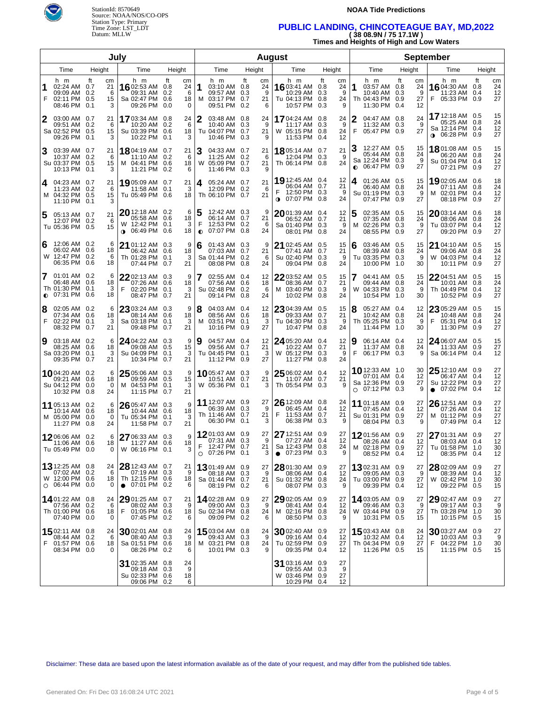

#### **NOAA Tide Predictions**

## Time Zone: LST\_LDT **PUBLIC LANDING, CHINCOTEAGUE BAY, MD,2022**  Datum: MLLW **( 38 08.9N / 75 17.1W )**

**Times and Heights of High and Low Waters** 

| July           |                                                                       |                                       |                                                                                  | <b>August</b>                         |                     |                                                                    |           |                          | <b>September</b>                                                                |                                              |           |                                                                    |                                         |                                                                                 |                            |
|----------------|-----------------------------------------------------------------------|---------------------------------------|----------------------------------------------------------------------------------|---------------------------------------|---------------------|--------------------------------------------------------------------|-----------|--------------------------|---------------------------------------------------------------------------------|----------------------------------------------|-----------|--------------------------------------------------------------------|-----------------------------------------|---------------------------------------------------------------------------------|----------------------------|
|                | Time                                                                  | Height                                | Time                                                                             | Height                                | Height<br>Time      |                                                                    |           | Time                     | Height                                                                          | Time                                         |           | Height                                                             | Time                                    | Height                                                                          |                            |
| F              | h m<br>02:24 AM 0.7<br>09:09 AM 0.2<br>02:11 PM 0.5<br>08:46 PM       | ft<br>cm<br>21<br>6<br>15<br>0.1<br>3 | h m<br>16 02:53 AM 0.8<br>09:31 AM 0.2<br>Sa 02:47 PM 0.6<br>09:26 PM            | ft<br>cm<br>24<br>6<br>18<br>0.0<br>0 | 1                   | h m<br>03:10 AM 0.8<br>09:57 AM 0.3<br>M 03:17 PM 0.7<br>09:51 PM  | ft<br>0.2 | cm<br>24<br>9<br>21<br>6 | h m<br>1603:41 AM 0.8<br>10:29 AM<br>Tu 04:13 PM 0.8<br>10:57 PM                | ft<br>cm<br>24<br>0.3<br>9<br>24<br>9<br>0.3 | 1         | h m<br>03:57 AM 0.8<br>10:40 AM 0.3<br>Th 04:43 PM 0.9<br>11:30 PM | ft<br>cm<br>24<br>9<br>27<br>12<br>-0.4 | h m<br>16 04:30 AM 0.8<br>11:23 AM 0.4<br>05:33 PM 0.9<br>F                     | ft<br>cm<br>24<br>12<br>27 |
| 2              | 03:00 AM 0.7<br>09:51 AM 0.2<br>Sa 02:52 PM 0.5<br>09:26 PM 0.1       | 21<br>6<br>15<br>3                    | 1703:34 AM 0.8<br>10:20 AM 0.2<br>Su 03:39 PM 0.6<br>10:22 PM 0.1                | 24<br>6<br>18<br>3                    | 2                   | 03:48 AM 0.8<br>10:40 AM 0.3<br>Tu 04:07 PM 0.7<br>10:46 PM 0.3    |           | 24<br>9<br>21<br>9       | <b>17</b> 04:24 AM 0.8<br>11:17 AM 0.3<br>W 05:15 PM 0.8<br>11:53 PM 0.4        | 24<br>-9<br>24<br>12                         | F         | 04:47 AM 0.8<br>11:32 AM 0.3<br>05:47 PM 0.9                       | 24<br>9<br>27                           | 17 12:18 AM 0.5<br>05:25 AM 0.8<br>Sa 12:14 PM 0.4<br>06:28 PM 0.9<br>$\bullet$ | 15<br>24<br>12<br>27       |
| 3              | 03:39 AM 0.7<br>10:37 AM 0.2<br>Su 03:37 PM 0.5<br>10:13 PM 0.1       | 21<br>6<br>15<br>3                    | 18804:19 AM 0.7<br>11:10 AM 0.2<br>M 04:41 PM 0.6<br>11:21 PM 0.2                | 21<br>6<br>18<br>6                    |                     | 04:33 AM 0.7<br>11:25 AM 0.2<br>W 05:09 PM 0.7<br>11:46 PM 0.3     |           | 21<br>6<br>21<br>9       | <b>18</b> 05:14 AM 0.7<br>12:04 PM 0.3<br>Th 06:14 PM 0.8                       | 21<br>- 9<br>24                              | $\bullet$ | 12:27 AM 0.5<br>05:44 AM 0.8<br>Sa 12:24 PM 0.3<br>06:47 PM 0.9    | 15<br>24<br>9<br>27                     | 18 01:08 AM 0.5<br>06:20 AM 0.8<br>Su 01:04 PM 0.4<br>07:21 PM 0.9              | 15<br>24<br>12<br>27       |
| 4              | 04:23 AM 0.7<br>11:23 AM 0.2<br>M 04:32 PM 0.5<br>11:10 PM 0.1        | 21<br>6<br>15<br>3                    | 19 05:09 AM 0.7<br>11:58 AM 0.1<br>Tu 05:49 PM 0.6                               | 21<br>3<br>18                         | 4                   | 05:24 AM 0.7<br>12:09 PM 0.2<br>Th 06:10 PM 0.7                    |           | 21<br>6<br>21            | 19 12:45 AM 0.4<br>06:04 AM 0.7<br>12:50 PM 0.3<br>$\bullet$ 07:07 PM 0.8       | 12<br>21<br>-9<br>24                         | 4         | 01:26 AM 0.5<br>06:40 AM 0.8<br>Su 01:19 PM 0.3<br>07:47 PM 0.9    | 15<br>24<br>9<br>27                     | 19 02:05 AM 0.6<br>07:11 AM 0.8<br>02:01 PM 0.4<br>M<br>08:18 PM 0.9            | 18<br>24<br>12<br>27       |
| 5              | 05:13 AM 0.7<br>12:07 PM 0.2<br>Tu 05:36 PM 0.5                       | 21<br>6<br>15                         | $20$ 12:18 AM 0.2<br>05:58 AM 0.6<br>W 12:42 PM 0.1<br>06:49 PM 0.6<br>$\bullet$ | 6<br>18<br>3<br>18                    | 5<br>F<br>$\bullet$ | 12:42 AM 0.3<br>06:14 AM 0.7<br>12:53 PM 0.2<br>07:07 PM 0.8       |           | 9<br>21<br>6<br>24       | $2001:39$ AM 0.4<br>06:52 AM 0.7<br>Sa 01:40 PM 0.3<br>08:01 PM 0.8             | 12<br>21<br>9<br>24                          | 5<br>м    | 02:35 AM 0.5<br>07:35 AM 0.8<br>02:26 PM 0.3<br>08:55 PM           | 15<br>24<br>9<br>0.9<br>27              | $20$ 03:14 AM 0.6<br>08:06 AM 0.8<br>Tu 03:07 PM 0.4<br>09:20 PM 0.9            | 18<br>24<br>12<br>27       |
| 6              | 12:06 AM 0.2<br>06:02 AM 0.6<br>W 12:47 PM 0.2<br>06:35 PM 0.6        | 6<br>18<br>6<br>18                    | 21 01:12 AM 0.3<br>06:42 AM 0.6<br>Th 01:28 PM 0.1<br>07:44 PM 0.7               | 9<br>18<br>3<br>21                    | 6                   | 01:43 AM 0.3<br>07:03 AM 0.7<br>Sa 01:44 PM 0.2<br>08:08 PM 0.8    |           | 9<br>21<br>6<br>24       | 21 02:45 AM 0.5<br>07:41 AM 0.7<br>Su 02:40 PM 0.3<br>09:04 PM 0.8              | 15<br>21<br>9<br>24                          | 6         | 03:46 AM 0.5<br>08:39 AM 0.8<br>Tu 03:35 PM 0.3<br>10:00 PM 1.0    | 15<br>24<br>9<br>30                     | 21 04:10 AM 0.5<br>09:06 AM 0.8<br>W 04:03 PM 0.4<br>10:11 PM 0.9               | 15<br>24<br>12<br>27       |
| 7<br>$\bullet$ | 01:01 AM 0.2<br>06:48 AM 0.6<br>Th 01:30 PM 0.1<br>07:31 PM 0.6       | 6<br>18<br>3<br>18                    | 22 02:13 AM 0.3<br>07:26 AM 0.6<br>F<br>02:20 PM 0.1<br>08:47 PM 0.7             | 9<br>18<br>3<br>21                    | 7                   | 02:55 AM 0.4<br>07:56 AM 0.6<br>Su 02:48 PM 0.2<br>09:14 PM 0.8    |           | 12<br>18<br>6<br>24      | 2203:52 AM 0.5<br>08:36 AM 0.7<br>M 03:40 PM 0.3<br>10:02 PM 0.8                | 15<br>21<br>9<br>24                          | W         | 04:41 AM 0.5<br>09:44 AM 0.8<br>04:33 PM 0.3<br>10:54 PM 1.0       | 15<br>24<br>9<br>30                     | 22 04:51 AM 0.5<br>10:01 AM 0.8<br>Th 04:49 PM 0.4<br>10:52 PM 0.9              | 15<br>24<br>12<br>27       |
| 8<br>F         | 02:05 AM 0.2<br>07:34 AM 0.6<br>02:22 PM 0.1<br>08:32 PM 0.7          | 6<br>18<br>3<br>21                    | 23 03:24 AM 0.3<br>08:14 AM 0.6<br>Sa 03:18 PM 0.1<br>09:48 PM 0.7               | 9<br>18<br>3<br>21                    | 8                   | 04:03 AM 0.4<br>08:56 AM 0.6<br>M 03:51 PM 0.1<br>10:16 PM 0.9     |           | 12<br>18<br>3<br>27      | 23 04:39 AM 0.5<br>09:33 AM 0.7<br>Tu 04:30 PM 0.3<br>10:47 PM 0.8              | 15<br>21<br>9<br>24                          | 8         | 05:27 AM 0.4<br>10:42 AM 0.8<br>Th 05:25 PM 0.3<br>11:44 PM 1.0    | 12<br>24<br>9<br>30                     | 23 05:29 AM 0.5<br>10:48 AM 0.8<br>05:31 PM 0.4<br>11:30 PM 0.9                 | 15<br>24<br>12<br>27       |
| 9              | 03:18 AM 0.2<br>08:25 AM 0.6<br>Sa 03:20 PM 0.1<br>09:35 PM 0.7       | 6<br>18<br>3<br>21                    | 24 04:22 AM 0.3<br>09:08 AM 0.5<br>Su 04:09 PM 0.1<br>10:34 PM 0.7               | 9<br>15<br>3<br>21                    | 9                   | 04:57 AM 0.4<br>09:56 AM 0.7<br>Tu 04:45 PM 0.1<br>11:12 PM 0.9    |           | 12<br>21<br>3<br>27      | 24 05:20 AM 0.4<br>10:22 AM 0.7<br>W 05:12 PM 0.3<br>11:27 PM 0.8               | 12<br>21<br>9<br>24                          | 9<br>F    | 06:14 AM 0.4<br>11:37 AM 0.8<br>06:17 PM 0.3                       | 12<br>24<br>9                           | 24 06:07 AM 0.5<br>11:33 AM 0.9<br>Sa 06:14 PM 0.4                              | 15<br>27<br>12             |
|                | 1004:20 AM 0.2<br>09:21 AM 0.6<br>Su 04:12 PM 0.0<br>10:32 PM 0.8     | 6<br>18<br>0<br>24                    | 25 05:06 AM 0.3<br>09:59 AM 0.5<br>M 04:53 PM 0.1<br>11:15 PM 0.7                | 9<br>15<br>3<br>21                    |                     | <b>10</b> 05:47 AM 0.3<br>10:51 AM 0.7<br>W 05:36 PM 0.1           |           | 9<br>21<br>3             | 25 06:02 AM 0.4<br>11:07 AM 0.7<br>Th 05:54 PM 0.3                              | 12<br>21<br>9                                | $\circ$   | 10 12:33 AM 1.0<br>07:01 AM 0.4<br>Sa 12:36 PM 0.9<br>07:12 PM 0.3 | 30<br>12<br>27<br>9                     | $2512:10$ AM 0.9<br>06:47 AM 0.4<br>Su 12:22 PM 0.9<br>$\bullet$ 07:02 PM 0.4   | 27<br>12<br>27<br>12       |
|                | 11 05:13 AM 0.2<br>10:14 AM 0.6<br>M 05:00 PM 0.0<br>11:27 PM 0.8     | 6<br>18<br>0<br>24                    | 26 05:47 AM 0.3<br>10:44 AM 0.6<br>Tu 05:34 PM 0.1<br>11:58 PM 0.7               | 9<br>18<br>3<br>21                    |                     | 11 12:07 AM 0.9<br>06:39 AM 0.3<br>Th 11:46 AM 0.7<br>06:30 PM 0.1 |           | 27<br>9<br>21<br>3       | 26 12:09 AM 0.8<br>06:45 AM 0.4<br>F<br>11:53 AM 0.7<br>06:38 PM                | 24<br>12<br>21<br>0.3<br>9                   |           | 11 01:18 AM 0.9<br>07:45 AM 0.4<br>Su 01:31 PM 0.9<br>08:04 PM     | 27<br>12<br>27<br>0.3<br>9              | 26 12:51 AM 0.9<br>07:26 AM 0.4<br>01:12 PM 0.9<br>M<br>07:49 PM 0.4            | 27<br>12<br>27<br>12       |
|                | 1206:06 AM 0.2<br>11:06 AM 0.6<br>Tu 05:49 PM 0.0                     | 6<br>18<br>0                          | 27 06:33 AM 0.3<br>11:27 AM 0.6<br>W 06:16 PM 0.1                                | 9<br>18<br>З                          | E                   | 1201:03 AM 0.9<br>07:31 AM 0.3<br>12.47 PM 0.7<br>$O$ 07:26 PM 0.1 |           | 27<br>9<br>21<br>3       | 27 12:51 AM 0.9<br>07:27 AM 0.4<br>Sa 12:43 PM 0.8<br>07:23 PM 0.3<br>$\bullet$ | 27<br>12<br>24<br>9                          |           | 1201:56 AM 0.9<br>08:26 AM 0.4<br>M 02:18 PM 0.9<br>08:52 PM 0.4   | 27<br>12<br>27<br>12                    | 27 01:31 AM 0.9<br>08:03 AM 0.4<br>Tu 01:58 PM 1.0<br>08:35 PM 0.4              | 27<br>12<br>30<br>12       |
|                | 13 12:25 AM 0.8<br>07:02 AM 0.2<br>W 12:00 PM 0.6<br>$O$ 06:44 PM 0.0 | 24<br>6<br>18<br>0                    | 28 12:43 AM 0.7<br>07:19 AM 0.3<br>Th 12:15 PM 0.6<br>$\bullet$ 07:01 PM 0.2     | 21<br>9<br>18<br>6                    |                     | 1301:49 AM 0.9<br>08:18 AM 0.3<br>Sa 01:44 PM 0.7<br>08:19 PM 0.2  |           | 27<br>9<br>21<br>6       | 28 01:30 AM 0.9<br>08:06 AM 0.4<br>Su 01:32 PM 0.8<br>08:07 PM 0.3              | 27<br>12<br>24<br>9                          |           | 1302:31 AM 0.9<br>09:05 AM 0.3<br>Tu 03:00 PM 0.9<br>09:39 PM 0.4  | 27<br>9<br>27<br>12                     | 28 02:09 AM 0.9<br>08:39 AM 0.4<br>W 02:42 PM 1.0<br>09:22 PM 0.5               | 27<br>12<br>30<br>15       |
|                | 1401:22 AM 0.8<br>07:56 AM 0.2<br>Th 01:00 PM 0.6<br>07:40 PM 0.0     | 24<br>6<br>18<br>0                    | $2901:25$ AM 0.7<br>08:02 AM 0.3<br>F<br>01:05 PM 0.6<br>07:45 PM 0.2            | 21<br>9<br>18<br>6                    |                     | 1402:28 AM 0.9<br>09:00 AM 0.3<br>Su 02:34 PM 0.8<br>09:09 PM 0.2  |           | 27<br>9<br>24<br>6       | $2902:05$ AM $0.9$<br>08:41 AM 0.4<br>M 02:16 PM 0.8<br>08:50 PM 0.3            | 27<br>12<br>24<br>9                          |           | 14 03:05 AM 0.9<br>09:46 AM 0.3<br>W 03:44 PM 0.9<br>10:31 PM 0.5  | 27<br>9<br>27<br>15                     | 29 02:47 AM 0.9<br>09:17 AM 0.3<br>Th 03:28 PM 1.0<br>10:15 PM 0.5              | 27<br>9<br>30<br>15        |
| F              | 1502:11 AM 0.8<br>08:44 AM 0.2<br>01:57 PM 0.6<br>08:34 PM 0.0        | 24<br>6<br>18<br>0                    | $30$ 02:01 AM 0.8<br>08:40 AM 0.3<br>Sa 01:51 PM 0.6<br>08:26 PM 0.2             | 24<br>9<br>18<br>6                    |                     | 1503:04 AM 0.8<br>09:43 AM 0.3<br>M 03:21 PM 0.8<br>10:01 PM 0.3   |           | 24<br>9<br>24<br>9       | 30 02:40 AM 0.9<br>09:16 AM 0.4<br>Tu 02:59 PM 0.9<br>09:35 PM 0.4              | 27<br>12<br>27<br>12                         |           | 15 03:43 AM 0.8<br>10:32 AM<br>Th 04:34 PM 0.9<br>11:26 PM 0.5     | 24<br>12<br>0.4<br>27<br>15             | 3003:27 AM 0.9<br>10:03 AM 0.3<br>04:22 PM 1.0<br>F<br>11:15 PM 0.5             | 27<br>9<br>30<br>15        |
|                |                                                                       |                                       | 31 02:35 AM 0.8<br>09:18 AM 0.3<br>Su 02:33 PM 0.6<br>09:06 PM 0.2               | 24<br>9<br>18<br>6                    |                     |                                                                    |           |                          | 31 03:16 AM 0.9<br>09:55 AM 0.3<br>W 03:46 PM 0.9<br>10:29 PM 0.4               | 27<br>9<br>27<br>12                          |           |                                                                    |                                         |                                                                                 |                            |